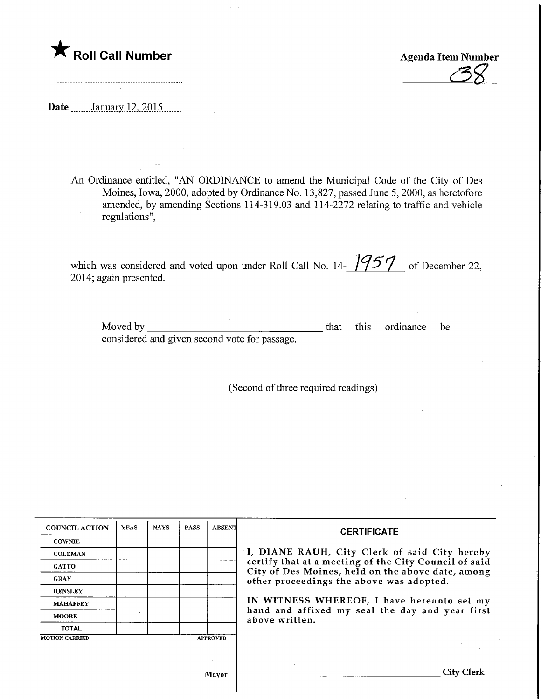

Agenda Item Number ^

Date ........January 12, 2015.......

An Ordinance entitled, "AN ORDINANCE to amend the Municipal Code of the City of Des Moines, Iowa, 2000, adopted by Ordinance No. 13,827, passed June 5, 2000, as heretofore amended, by amending Sections 114-319.03 and 114-2272 relating to traffic and vehicle regulations",

which was considered and voted upon under Roll Call No. 14-  $/957$  of December 22, 2014; again presented.

Moved by considered and given second vote for passage. that this ordinance be

(Second of three required readings)

| <b>COUNCIL ACTION</b> | <b>YEAS</b> | <b>NAYS</b> | <b>PASS</b> | <b>ABSENT</b>   | <b>CERTIFICATE</b>                                                                            |  |  |
|-----------------------|-------------|-------------|-------------|-----------------|-----------------------------------------------------------------------------------------------|--|--|
| <b>COWNIE</b>         |             |             |             |                 | I, DIANE RAUH, City Clerk of said City hereby                                                 |  |  |
| <b>COLEMAN</b>        |             |             |             |                 |                                                                                               |  |  |
| <b>GATTO</b>          |             |             |             |                 | certify that at a meeting of the City Council of said                                         |  |  |
| <b>GRAY</b>           |             |             |             |                 | City of Des Moines, held on the above date, among<br>other proceedings the above was adopted. |  |  |
| <b>HENSLEY</b>        |             |             |             |                 | IN WITNESS WHEREOF, I have hereunto set my                                                    |  |  |
| <b>MAHAFFEY</b>       |             |             |             |                 |                                                                                               |  |  |
| <b>MOORE</b>          |             |             |             |                 | hand and affixed my seal the day and year first<br>above written.                             |  |  |
| <b>TOTAL</b>          |             |             |             |                 |                                                                                               |  |  |
| <b>MOTION CARRIED</b> |             |             |             | <b>APPROVED</b> |                                                                                               |  |  |
|                       |             |             |             |                 |                                                                                               |  |  |
|                       |             |             |             |                 |                                                                                               |  |  |
|                       |             |             |             | Mayor           | City Clerk                                                                                    |  |  |